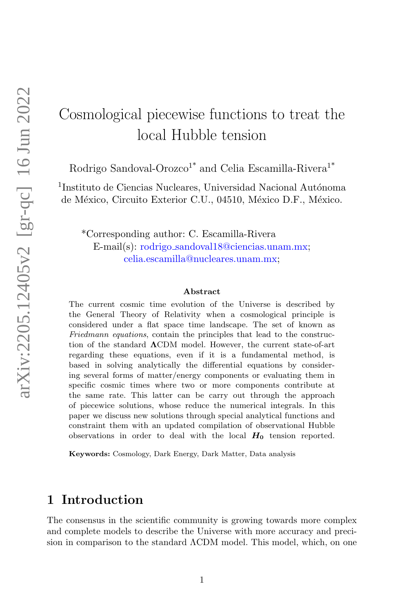# Cosmological piecewise functions to treat the local Hubble tension

Rodrigo Sandoval-Orozco<sup>1\*</sup> and Celia Escamilla-Rivera<sup>1\*</sup>

<sup>1</sup>Instituto de Ciencias Nucleares, Universidad Nacional Autónoma de México, Circuito Exterior C.U., 04510, México D.F., México.

\*Corresponding author: C. Escamilla-Rivera E-mail(s): rodrigo sandoval18@ciencias.unam.mx; celia.escamilla@nucleares.unam.mx;

#### Abstract

The current cosmic time evolution of the Universe is described by the General Theory of Relativity when a cosmological principle is considered under a flat space time landscape. The set of known as Friedmann equations, contain the principles that lead to the construction of the standard ΛCDM model. However, the current state-of-art regarding these equations, even if it is a fundamental method, is based in solving analytically the differential equations by considering several forms of matter/energy components or evaluating them in specific cosmic times where two or more components contribute at the same rate. This latter can be carry out through the approach of piecewice solutions, whose reduce the numerical integrals. In this paper we discuss new solutions through special analytical functions and constraint them with an updated compilation of observational Hubble observations in order to deal with the local  $H_0$  tension reported.

Keywords: Cosmology, Dark Energy, Dark Matter, Data analysis

### 1 Introduction

The consensus in the scientific community is growing towards more complex and complete models to describe the Universe with more accuracy and precision in comparison to the standard ΛCDM model. This model, which, on one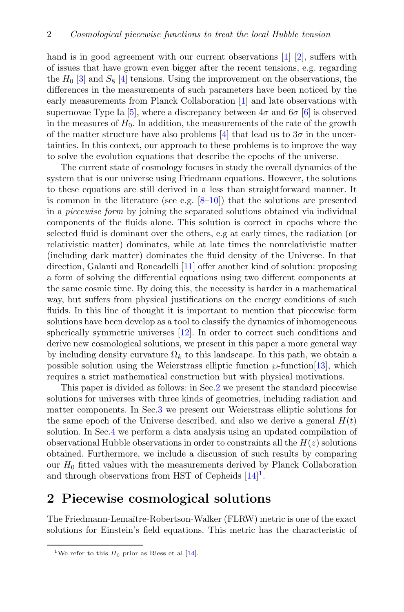hand is in good agreement with our current observations [\[1\]](#page-19-0) [\[2\]](#page-19-1), suffers with of issues that have grown even bigger after the recent tensions, e.g. regarding the  $H_0$  [\[3\]](#page-19-2) and  $S_8$  [\[4\]](#page-19-3) tensions. Using the improvement on the observations, the differences in the measurements of such parameters have been noticed by the early measurements from Planck Collaboration [\[1\]](#page-19-0) and late observations with supernovae Type Ia [\[5\]](#page-19-4), where a discrepancy between  $4\sigma$  and  $6\sigma$  [\[6\]](#page-20-0) is observed in the measures of  $H_0$ . In addition, the measurements of the rate of the growth of the matter structure have also problems [\[4\]](#page-19-3) that lead us to  $3\sigma$  in the uncertainties. In this context, our approach to these problems is to improve the way to solve the evolution equations that describe the epochs of the universe.

The current state of cosmology focuses in study the overall dynamics of the system that is our universe using Friedmann equations. However, the solutions to these equations are still derived in a less than straightforward manner. It is common in the literature (see e.g.  $[8-10]$  $[8-10]$ ) that the solutions are presented in a piecewise form by joining the separated solutions obtained via individual components of the fluids alone. This solution is correct in epochs where the selected fluid is dominant over the others, e.g at early times, the radiation (or relativistic matter) dominates, while at late times the nonrelativistic matter (including dark matter) dominates the fluid density of the Universe. In that direction, Galanti and Roncadelli [\[11\]](#page-20-3) offer another kind of solution: proposing a form of solving the differential equations using two different components at the same cosmic time. By doing this, the necessity is harder in a mathematical way, but suffers from physical justifications on the energy conditions of such fluids. In this line of thought it is important to mention that piecewise form solutions have been develop as a tool to classify the dynamics of inhomogeneous spherically symmetric universes [\[12\]](#page-20-4). In order to correct such conditions and derive new cosmological solutions, we present in this paper a more general way by including density curvature  $\Omega_k$  to this landscape. In this path, we obtain a possible solution using the Weierstrass elliptic function  $\wp$ -function [\[13\]](#page-20-5), which requires a strict mathematical construction but with physical motivations.

This paper is divided as follows: in Sec[.2](#page-1-0) we present the standard piecewise solutions for universes with three kinds of geometries, including radiation and matter components. In Sec[.3](#page-11-0) we present our Weierstrass elliptic solutions for the same epoch of the Universe described, and also we derive a general  $H(t)$ solution. In Sec[.4](#page-14-0) we perform a data analysis using an updated compilation of observational Hubble observations in order to constraints all the  $H(z)$  solutions obtained. Furthermore, we include a discussion of such results by comparing our  $H_0$  fitted values with the measurements derived by Planck Collaboration and through observations from HST of Cepheids  $[14]$ <sup>[1](#page-1-1)</sup>.

### <span id="page-1-0"></span>2 Piecewise cosmological solutions

The Friedmann-Lemaître-Robertson-Walker (FLRW) metric is one of the exact solutions for Einstein's field equations. This metric has the characteristic of

<span id="page-1-1"></span><sup>&</sup>lt;sup>1</sup>We refer to this  $H_0$  prior as Riess et al [\[14\]](#page-20-6).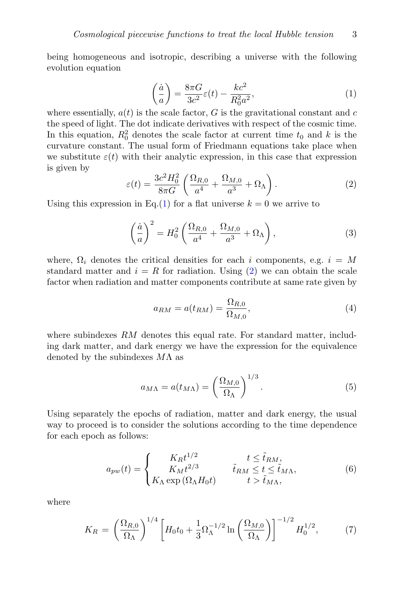being homogeneous and isotropic, describing a universe with the following evolution equation

<span id="page-2-0"></span>
$$
\left(\frac{\dot{a}}{a}\right) = \frac{8\pi G}{3c^2}\varepsilon(t) - \frac{kc^2}{R_0^2 a^2},\tag{1}
$$

where essentially,  $a(t)$  is the scale factor, G is the gravitational constant and c the speed of light. The dot indicate derivatives with respect of the cosmic time. In this equation,  $R_0^2$  denotes the scale factor at current time  $t_0$  and k is the curvature constant. The usual form of Friedmann equations take place when we substitute  $\varepsilon(t)$  with their analytic expression, in this case that expression is given by

<span id="page-2-1"></span>
$$
\varepsilon(t) = \frac{3c^2 H_0^2}{8\pi G} \left( \frac{\Omega_{R,0}}{a^4} + \frac{\Omega_{M,0}}{a^3} + \Omega_{\Lambda} \right). \tag{2}
$$

Using this expression in Eq.[\(1\)](#page-2-0) for a flat universe  $k = 0$  we arrive to

<span id="page-2-3"></span>
$$
\left(\frac{\dot{a}}{a}\right)^2 = H_0^2 \left(\frac{\Omega_{R,0}}{a^4} + \frac{\Omega_{M,0}}{a^3} + \Omega_\Lambda\right),\tag{3}
$$

where,  $\Omega_i$  denotes the critical densities for each i components, e.g.  $i = M$ standard matter and  $i = R$  for radiation. Using [\(2\)](#page-2-1) we can obtain the scale factor when radiation and matter components contribute at same rate given by

$$
a_{RM} = a(t_{RM}) = \frac{\Omega_{R,0}}{\Omega_{M,0}},\tag{4}
$$

where subindexes  $RM$  denotes this equal rate. For standard matter, including dark matter, and dark energy we have the expression for the equivalence denoted by the subindexes  $M\Lambda$  as

$$
a_{M\Lambda} = a(t_{M\Lambda}) = \left(\frac{\Omega_{M,0}}{\Omega_{\Lambda}}\right)^{1/3}.\tag{5}
$$

Using separately the epochs of radiation, matter and dark energy, the usual way to proceed is to consider the solutions according to the time dependence for each epoch as follows:

<span id="page-2-2"></span>
$$
a_{pw}(t) = \begin{cases} K_R t^{1/2} & t \le \tilde{t}_{RM}, \\ K_M t^{2/3} & \tilde{t}_{RM} \le t \le \tilde{t}_{M\Lambda}, \\ K_{\Lambda} \exp\left(\Omega_{\Lambda} H_0 t\right) & t > \tilde{t}_{M\Lambda}, \end{cases}
$$
(6)

where

$$
K_R = \left(\frac{\Omega_{R,0}}{\Omega_{\Lambda}}\right)^{1/4} \left[H_0 t_0 + \frac{1}{3} \Omega_{\Lambda}^{-1/2} \ln\left(\frac{\Omega_{M,0}}{\Omega_{\Lambda}}\right)\right]^{-1/2} H_0^{1/2},\tag{7}
$$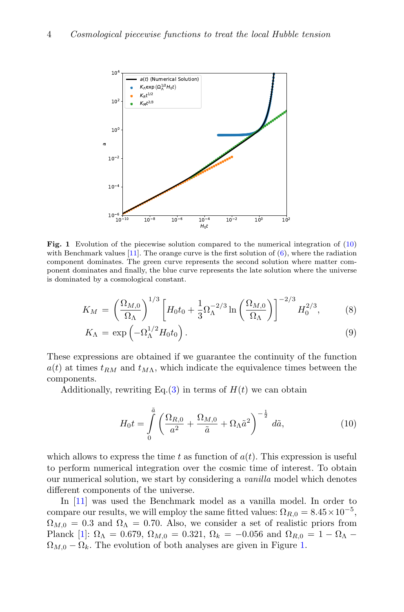

<span id="page-3-1"></span>Fig. 1 Evolution of the piecewise solution compared to the numerical integration of [\(10\)](#page-3-0) with Benchmark values  $[11]$ . The orange curve is the first solution of  $(6)$ , where the radiation component dominates. The green curve represents the second solution where matter component dominates and finally, the blue curve represents the late solution where the universe is dominated by a cosmological constant.

$$
K_M = \left(\frac{\Omega_{M,0}}{\Omega_{\Lambda}}\right)^{1/3} \left[H_0 t_0 + \frac{1}{3} \Omega_{\Lambda}^{-2/3} \ln \left(\frac{\Omega_{M,0}}{\Omega_{\Lambda}}\right)\right]^{-2/3} H_0^{2/3},\tag{8}
$$

$$
K_{\Lambda} = \exp\left(-\Omega_{\Lambda}^{1/2}H_0t_0\right). \tag{9}
$$

These expressions are obtained if we guarantee the continuity of the function  $a(t)$  at times  $t_{RM}$  and  $t_{M\Lambda}$ , which indicate the equivalence times between the components.

Additionally, rewriting Eq. [\(3\)](#page-2-3) in terms of  $H(t)$  we can obtain

<span id="page-3-0"></span>
$$
H_0 t = \int\limits_0^{\tilde{a}} \left( \frac{\Omega_{R,0}}{a^2} + \frac{\Omega_{M,0}}{\tilde{a}} + \Omega_{\Lambda} \tilde{a}^2 \right)^{-\frac{1}{2}} d\tilde{a},\tag{10}
$$

which allows to express the time t as function of  $a(t)$ . This expression is useful to perform numerical integration over the cosmic time of interest. To obtain our numerical solution, we start by considering a vanilla model which denotes different components of the universe.

In [\[11\]](#page-20-3) was used the Benchmark model as a vanilla model. In order to compare our results, we will employ the same fitted values:  $\Omega_{R,0} = 8.45 \times 10^{-5}$ ,  $\Omega_{M,0} = 0.3$  and  $\Omega_{\Lambda} = 0.70$ . Also, we consider a set of realistic priors from Planck [\[1\]](#page-19-0):  $\Omega_{\Lambda} = 0.679, \ \Omega_{M,0} = 0.321, \ \Omega_{k} = -0.056 \text{ and } \Omega_{R,0} = 1 - \Omega_{\Lambda}$  $\Omega_{M,0} - \Omega_k$ . The evolution of both analyses are given in Figure [1.](#page-3-1)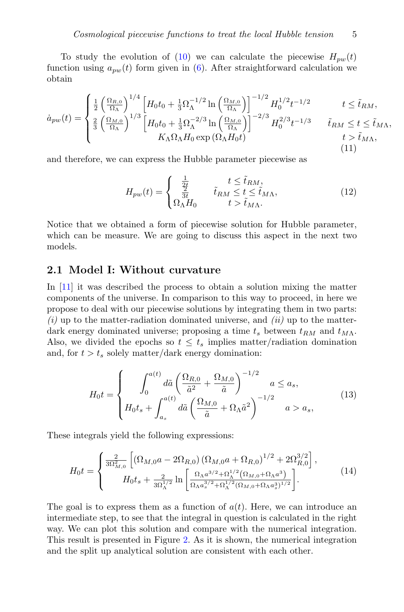To study the evolution of [\(10\)](#page-3-0) we can calculate the piecewise  $H_{pw}(t)$ function using  $a_{\text{nu}}(t)$  form given in [\(6\)](#page-2-2). After straightforward calculation we obtain

$$
\dot{a}_{pw}(t) = \begin{cases} \frac{1}{2} \left( \frac{\Omega_{R,0}}{\Omega_{\Lambda}} \right)^{1/4} \left[ H_0 t_0 + \frac{1}{3} \Omega_{\Lambda}^{-1/2} \ln \left( \frac{\Omega_{M,0}}{\Omega_{\Lambda}} \right) \right]^{-1/2} H_0^{1/2} t^{-1/2} & t \le \tilde{t}_{RM}, \\ \frac{2}{3} \left( \frac{\Omega_{M,0}}{\Omega_{\Lambda}} \right)^{1/3} \left[ H_0 t_0 + \frac{1}{3} \Omega_{\Lambda}^{-2/3} \ln \left( \frac{\Omega_{M,0}}{\Omega_{\Lambda}} \right) \right]^{-2/3} H_0^{2/3} t^{-1/3} & \tilde{t}_{RM} \le t \le \tilde{t}_{M\Lambda}, \\ K_{\Lambda} \Omega_{\Lambda} H_0 \exp \left( \Omega_{\Lambda} H_0 t \right) & t > \tilde{t}_{M\Lambda}, \end{cases}
$$
\n(11)

and therefore, we can express the Hubble parameter piecewise as

$$
H_{pw}(t) = \begin{cases} \frac{1}{2t} & t \leq \tilde{t}_{RM},\\ \frac{2}{3t} & \tilde{t}_{RM} \leq t \leq \tilde{t}_{M\Lambda},\\ \Omega_{\Lambda}H_0 & t > \tilde{t}_{M\Lambda}. \end{cases}
$$
(12)

Notice that we obtained a form of piecewise solution for Hubble parameter, which can be measure. We are going to discuss this aspect in the next two models.

#### 2.1 Model I: Without curvature

In [\[11\]](#page-20-3) it was described the process to obtain a solution mixing the matter components of the universe. In comparison to this way to proceed, in here we propose to deal with our piecewise solutions by integrating them in two parts:  $(i)$  up to the matter-radiation dominated universe, and  $(ii)$  up to the matterdark energy dominated universe; proposing a time  $t_s$  between  $t_{RM}$  and  $t_{M\Lambda}$ . Also, we divided the epochs so  $t \leq t_s$  implies matter/radiation domination and, for  $t > t_s$  solely matter/dark energy domination:

$$
H_0 t = \begin{cases} \n\int_0^{a(t)} d\tilde{a} \left( \frac{\Omega_{R,0}}{\tilde{a}^2} + \frac{\Omega_{M,0}}{\tilde{a}} \right)^{-1/2} a \le a_s, \\
H_0 t_s + \int_{a_s}^{a(t)} d\tilde{a} \left( \frac{\Omega_{M,0}}{\tilde{a}} + \Omega_{\Lambda} \tilde{a}^2 \right)^{-1/2} a > a_s,\n\end{cases}
$$
\n(13)

These integrals yield the following expressions:

<span id="page-4-0"></span>
$$
H_0 t = \begin{cases} \frac{2}{3\Omega_{M,0}^2} \left[ \left( \Omega_{M,0} a - 2\Omega_{R,0} \right) \left( \Omega_{M,0} a + \Omega_{R,0} \right)^{1/2} + 2\Omega_{R,0}^{3/2} \right], \\ H_0 t_s + \frac{2}{3\Omega_{\Lambda}^{1/2}} \ln \left[ \frac{\Omega_{\Lambda} a^{3/2} + \Omega_{\Lambda}^{1/2} \left( \Omega_{M,0} + \Omega_{\Lambda} a^3 \right)}{\Omega_{\Lambda} a_s^{3/2} + \Omega_{\Lambda}^{1/2} \left( \Omega_{M,0} + \Omega_{\Lambda} a_s^3 \right)^{1/2}} \right]. \end{cases} \tag{14}
$$

The goal is to express them as a function of  $a(t)$ . Here, we can introduce an intermediate step, to see that the integral in question is calculated in the right way. We can plot this solution and compare with the numerical integration. This result is presented in Figure [2.](#page-5-0) As it is shown, the numerical integration and the split up analytical solution are consistent with each other.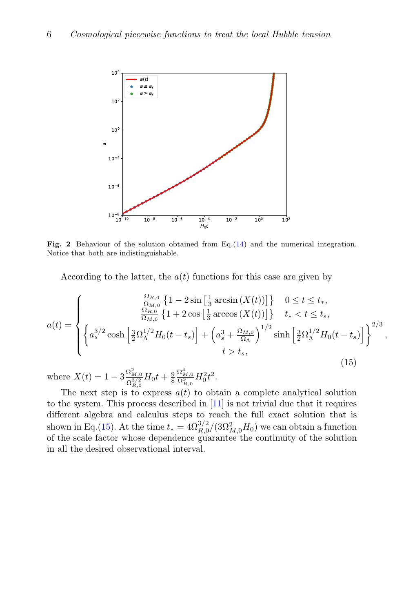

<span id="page-5-0"></span>Fig. 2 Behaviour of the solution obtained from Eq.[\(14\)](#page-4-0) and the numerical integration. Notice that both are indistinguishable.

According to the latter, the  $a(t)$  functions for this case are given by

<span id="page-5-1"></span>
$$
a(t) = \begin{cases} \n\frac{\Omega_{R,0}}{\Omega_{M,0}} \left\{ 1 - 2 \sin\left[\frac{1}{3}\arcsin\left(X(t)\right)\right] \right\} & 0 \le t \le t_*,\\ \n\frac{\Omega_{R,0}}{\Omega_{M,0}} \left\{ 1 + 2 \cos\left[\frac{1}{3}\arccos\left(X(t)\right)\right] \right\} & t_* < t \le t_s,\\ \n\left\{ a_s^{3/2} \cosh\left[\frac{3}{2}\Omega_{\Lambda}^{1/2}H_0(t - t_s)\right] + \left(a_s^3 + \frac{\Omega_{M,0}}{\Omega_{\Lambda}}\right)^{1/2} \sinh\left[\frac{3}{2}\Omega_{\Lambda}^{1/2}H_0(t - t_s)\right] \right\}^{2/3},\\ \nt > t_s, \n\end{cases}
$$
\n(15)

where  $X(t) = 1 - 3 \frac{\Omega_{M,0}^2}{\Omega_{R,0}^{3/2}} H_0 t + \frac{9}{8}$  $\frac{\Omega^{4}_{M,0}}{\Omega^{3}_{R,0}} H^{2}_{0} t^{2}.$ 

The next step is to express  $a(t)$  to obtain a complete analytical solution to the system. This process described in [\[11\]](#page-20-3) is not trivial due that it requires different algebra and calculus steps to reach the full exact solution that is shown in Eq.[\(15\)](#page-5-1). At the time  $t_* = 4\Omega_{R,0}^{3/2}/(3\Omega_{M,0}^2H_0)$  we can obtain a function of the scale factor whose dependence guarantee the continuity of the solution in all the desired observational interval.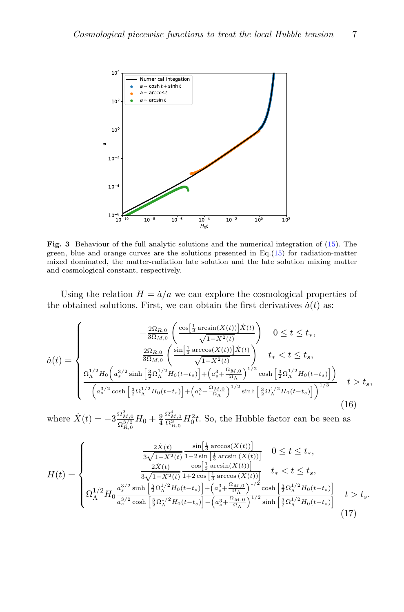

<span id="page-6-0"></span>Fig. 3 Behaviour of the full analytic solutions and the numerical integration of [\(15\)](#page-5-1). The green, blue and orange curves are the solutions presented in Eq.[\(15\)](#page-5-1) for radiation-matter mixed dominated, the matter-radiation late solution and the late solution mixing matter and cosmological constant, respectively.

Using the relation  $H = \dot{a}/a$  we can explore the cosmological properties of the obtained solutions. First, we can obtain the first derivatives  $\dot{a}(t)$  as:

$$
\dot{a}(t) = \begin{cases}\n\frac{2\Omega_{R,0}}{3\Omega_{M,0}} \left( \frac{\cos\left[\frac{1}{3}\arcsin(X(t))\right] \dot{X}(t)}{\sqrt{1 - X^2(t)}} \right) & 0 \le t \le t_*, \\
\frac{2\Omega_{R,0}}{3\Omega_{M,0}} \left( \frac{\sin\left[\frac{1}{3}\arccos(X(t))\right] \dot{X}(t)}{\sqrt{1 - X^2(t)}} \right) & t_* < t \le t_*, \\
\frac{\Omega_{\Lambda}^{1/2} H_0 \left( a_s^{3/2} \sinh\left[\frac{3}{2}\Omega_{\Lambda}^{1/2} H_0(t - t_s)\right] + \left( a_s^3 + \frac{\Omega_{M,0}}{\Omega_{\Lambda}} \right)^{1/2} \cosh\left[\frac{3}{2}\Omega_{\Lambda}^{1/2} H_0(t - t_s)\right] \right)}{\left( a_s^{3/2} \cosh\left[\frac{3}{2}\Omega_{\Lambda}^{1/2} H_0(t - t_s)\right] + \left( a_s^3 + \frac{\Omega_{M,0}}{\Omega_{\Lambda}} \right)^{1/2} \sinh\left[\frac{3}{2}\Omega_{\Lambda}^{1/2} H_0(t - t_s)\right] \right)^{1/3}} & t > t_s,\n\end{cases}
$$
\n(16)

where  $\dot{X}(t) = -3 \frac{\Omega_{M,0}^2}{\Omega_{R,0}^{3/2}} H_0 + \frac{9}{4}$  $\frac{\Omega_{M,0}^{4}}{\Omega_{R,0}^{3}}H_{0}^{2}t$ . So, the Hubble factor can be seen as

$$
H(t) = \begin{cases} \frac{2\dot{X}(t)}{3\sqrt{1-X^2(t)}} \frac{\sin[\frac{1}{3}\arccos(X(t))]}{1-2\sin[\frac{1}{3}\arcsin(X(t))]} & 0 \le t \le t_*,\\ \frac{2\dot{X}(t)}{3\sqrt{1-X^2(t)}} \frac{\cos[\frac{1}{3}\arcsin(X(t))]}{1+2\cos[\frac{1}{3}\arccos(X(t))]} & t_* < t \le t_s,\\ \Omega_{\Lambda}^{1/2} H_0 \frac{a_s^{3/2}\sinh[\frac{3}{2}\Omega_{\Lambda}^{1/2}H_0(t-t_s)] + (a_s^3 + \frac{\Omega_{M,0}}{\Omega_{\Lambda}})^{1/2}\cosh[\frac{3}{2}\Omega_{\Lambda}^{1/2}H_0(t-t_s)]}{a_s^{3/2}\cosh[\frac{3}{2}\Omega_{\Lambda}^{1/2}H_0(t-t_s)] + (a_s^3 + \frac{\Omega_{M,0}}{\Omega_{\Lambda}})^{1/2}\sinh[\frac{3}{2}\Omega_{\Lambda}^{1/2}H_0(t-t_s)]} & t > t_s. \end{cases}
$$
(17)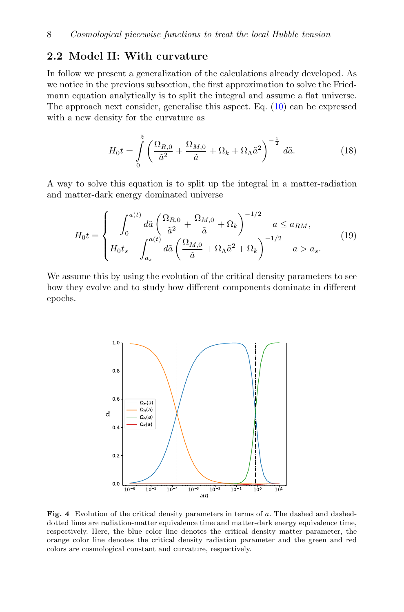### 2.2 Model II: With curvature

In follow we present a generalization of the calculations already developed. As we notice in the previous subsection, the first approximation to solve the Friedmann equation analytically is to split the integral and assume a flat universe. The approach next consider, generalise this aspect. Eq. [\(10\)](#page-3-0) can be expressed with a new density for the curvature as

<span id="page-7-1"></span>
$$
H_0 t = \int\limits_0^{\tilde{a}} \left( \frac{\Omega_{R,0}}{\tilde{a}^2} + \frac{\Omega_{M,0}}{\tilde{a}} + \Omega_k + \Omega_\Lambda \tilde{a}^2 \right)^{-\frac{1}{2}} d\tilde{a}.
$$
 (18)

A way to solve this equation is to split up the integral in a matter-radiation and matter-dark energy dominated universe

$$
H_0 t = \begin{cases} \int_0^{a(t)} d\tilde{a} \left( \frac{\Omega_{R,0}}{\tilde{a}^2} + \frac{\Omega_{M,0}}{\tilde{a}} + \Omega_k \right)^{-1/2} & a \le a_{RM}, \\ H_0 t_s + \int_{a_s}^{a(t)} d\tilde{a} \left( \frac{\Omega_{M,0}}{\tilde{a}} + \Omega_\Lambda \tilde{a}^2 + \Omega_k \right)^{-1/2} & a > a_s. \end{cases}
$$
(19)

We assume this by using the evolution of the critical density parameters to see how they evolve and to study how different components dominate in different epochs.



<span id="page-7-0"></span>Fig. 4 Evolution of the critical density parameters in terms of a. The dashed and dasheddotted lines are radiation-matter equivalence time and matter-dark energy equivalence time, respectively. Here, the blue color line denotes the critical density matter parameter, the orange color line denotes the critical density radiation parameter and the green and red colors are cosmological constant and curvature, respectively.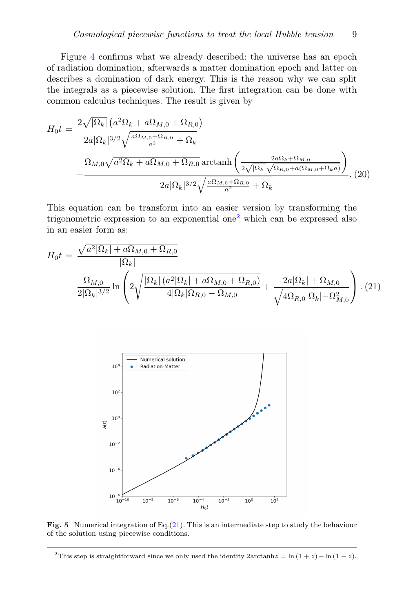Figure [4](#page-7-0) confirms what we already described: the universe has an epoch of radiation domination, afterwards a matter domination epoch and latter on describes a domination of dark energy. This is the reason why we can split the integrals as a piecewise solution. The first integration can be done with common calculus techniques. The result is given by

$$
H_0 t = \frac{2\sqrt{|\Omega_k|} \left(a^2 \Omega_k + a \Omega_{M,0} + \Omega_{R,0}\right)}{2a|\Omega_k|^{3/2} \sqrt{\frac{a \Omega_{M,0} + \Omega_{R,0}}{a^2} + \Omega_k}}
$$

$$
-\frac{\Omega_{M,0} \sqrt{a^2 \Omega_k + a \Omega_{M,0} + \Omega_{R,0}} \operatorname{arctanh}\left(\frac{2a \Omega_k + \Omega_{M,0}}{2\sqrt{|\Omega_k|} \sqrt{\Omega_{R,0} + a(\Omega_{M,0} + \Omega_k a)}}\right)}{2a|\Omega_k|^{3/2} \sqrt{\frac{a \Omega_{M,0} + \Omega_{R,0}}{a^2} + \Omega_k}}.\tag{20}
$$

This equation can be transform into an easier version by transforming the trigonometric expression to an exponential one[2](#page-8-0) which can be expressed also in an easier form as:

<span id="page-8-1"></span>
$$
H_0 t = \frac{\sqrt{a^2 |\Omega_k| + a\Omega_{M,0} + \Omega_{R,0}}}{|\Omega_k|} - \frac{\Omega_{M,0}}{2|\Omega_k|^{3/2}} \ln \left( 2\sqrt{\frac{|\Omega_k| (a^2 |\Omega_k| + a\Omega_{M,0} + \Omega_{R,0})}{4|\Omega_k| \Omega_{R,0} - \Omega_{M,0}}} + \frac{2a|\Omega_k| + \Omega_{M,0}}{\sqrt{4\Omega_{R,0} |\Omega_k| - \Omega_{M,0}^2}} \right) . (21)
$$



<span id="page-8-2"></span>Fig. 5 Numerical integration of Eq.[\(21\)](#page-8-1). This is an intermediate step to study the behaviour of the solution using piecewise conditions.

<span id="page-8-0"></span><sup>&</sup>lt;sup>2</sup>This step is straightforward since we only used the identity 2arctanh $z = \ln(1 + z) - \ln(1 - z)$ .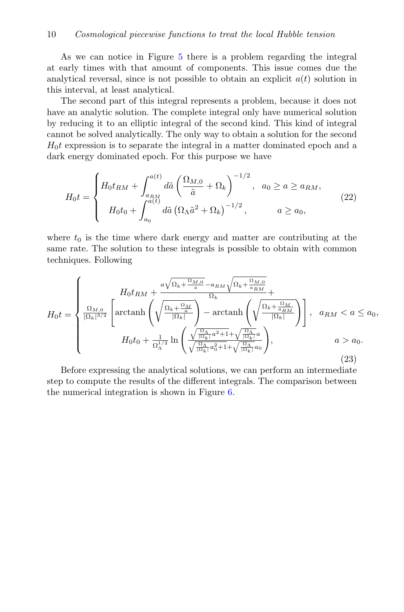As we can notice in Figure [5](#page-8-2) there is a problem regarding the integral at early times with that amount of components. This issue comes due the analytical reversal, since is not possible to obtain an explicit  $a(t)$  solution in this interval, at least analytical.

The second part of this integral represents a problem, because it does not have an analytic solution. The complete integral only have numerical solution by reducing it to an elliptic integral of the second kind. This kind of integral cannot be solved analytically. The only way to obtain a solution for the second  $H_0t$  expression is to separate the integral in a matter dominated epoch and a dark energy dominated epoch. For this purpose we have

$$
H_0 t = \begin{cases} H_0 t_{RM} + \int_{a_{RM}}^{a(t)} d\tilde{a} \left( \frac{\Omega_{M,0}}{\tilde{a}} + \Omega_k \right)^{-1/2}, & a_0 \ge a \ge a_{RM}, \\ H_0 t_0 + \int_{a_0}^{a(t)} d\tilde{a} \left( \Omega_{\Lambda} \tilde{a}^2 + \Omega_k \right)^{-1/2}, & a \ge a_0, \end{cases}
$$
(22)

where  $t_0$  is the time where dark energy and matter are contributing at the same rate. The solution to these integrals is possible to obtain with common techniques. Following

<span id="page-9-0"></span>
$$
H_0 t = \begin{cases} H_0 t_{RM} + \frac{a\sqrt{\Omega_k + \frac{\Omega_{M,0}}{a}} - a_{RM}\sqrt{\Omega_k + \frac{\Omega_{M,0}}{a_{RM}}} }{\Omega_k} + \\ \frac{\Omega_{M,0}}{|\Omega_k|^{3/2}} \left[ \operatorname{arctanh}\left(\sqrt{\frac{\Omega_k + \frac{\Omega_M}{a}}{|\Omega_k|}}\right) - \operatorname{arctanh}\left(\sqrt{\frac{\Omega_k + \frac{\Omega_M}{a_{RM}}} {|\Omega_k|}}\right) \right], & a_{RM} < a \le a_0, \\ H_0 t_0 + \frac{1}{\Omega_{\Lambda}^{1/2}} \ln\left(\frac{\sqrt{\frac{\Omega_{\Lambda}}{|\Omega_k|} a^2 + 1} + \sqrt{\frac{\Omega_{\Lambda}}{|\Omega_k|} a}}{\sqrt{\frac{\Omega_{\Lambda}}{|\Omega_k|} a_0^2 + 1} + \sqrt{\frac{\Omega_{\Lambda}}{|\Omega_k|} a_0}} \right), & a > a_0. \end{cases}
$$
(23)

Before expressing the analytical solutions, we can perform an intermediate step to compute the results of the different integrals. The comparison between the numerical integration is shown in Figure [6.](#page-10-0)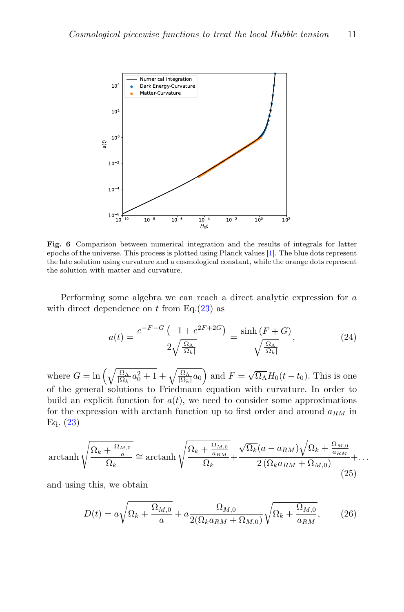

<span id="page-10-0"></span>Fig. 6 Comparison between numerical integration and the results of integrals for latter epochs of the universe. This process is plotted using Planck values [\[1\]](#page-19-0). The blue dots represent the late solution using curvature and a cosmological constant, while the orange dots represent the solution with matter and curvature.

Performing some algebra we can reach a direct analytic expression for a with direct dependence on t from Eq. $(23)$  as

$$
a(t) = \frac{e^{-F-G}\left(-1 + e^{2F+2G}\right)}{2\sqrt{\frac{\Omega_{\Lambda}}{|\Omega_{k}|}}} = \frac{\sinh\left(F+G\right)}{\sqrt{\frac{\Omega_{\Lambda}}{|\Omega_{k}|}}},\tag{24}
$$

where  $G = \ln \left( \sqrt{\frac{\Omega_{\Lambda}}{|\Omega_k|} a_0^2 + 1} + \sqrt{\frac{\Omega_{\Lambda}}{|\Omega_k|} a_0} \right)$  and  $F = \sqrt{\Omega_{\Lambda}} H_0(t - t_0)$ . This is one of the general solutions to Friedmann equation with curvature. In order to build an explicit function for  $a(t)$ , we need to consider some approximations for the expression with arctanh function up to first order and around  $a_{RM}$  in Eq. [\(23\)](#page-9-0)

$$
\operatorname{arctanh}\sqrt{\frac{\Omega_k + \frac{\Omega_{M,0}}{a}}{\Omega_k}} \cong \operatorname{arctanh}\sqrt{\frac{\Omega_k + \frac{\Omega_{M,0}}{a_{RM}}} {\Omega_k}} + \frac{\sqrt{\Omega_k}(a - a_{RM})\sqrt{\Omega_k + \frac{\Omega_{M,0}}{a_{RM}}} }{2\left(\Omega_k a_{RM} + \Omega_{M,0}\right)} + \dots
$$
\n(25)

and using this, we obtain

$$
D(t) = a\sqrt{\Omega_k + \frac{\Omega_{M,0}}{a}} + a\frac{\Omega_{M,0}}{2(\Omega_k a_{RM} + \Omega_{M,0})}\sqrt{\Omega_k + \frac{\Omega_{M,0}}{a_{RM}}},\qquad(26)
$$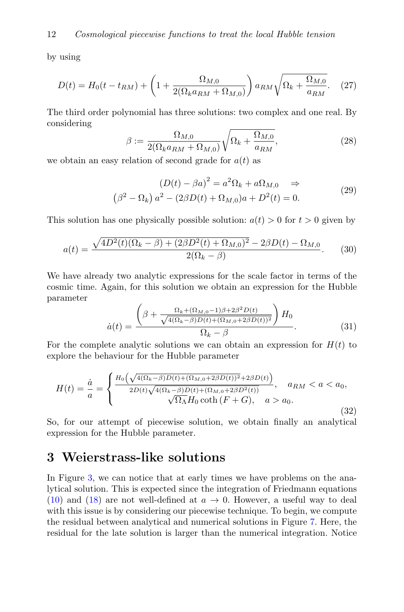by using

$$
D(t) = H_0(t - t_{RM}) + \left(1 + \frac{\Omega_{M,0}}{2(\Omega_k a_{RM} + \Omega_{M,0})}\right) a_{RM} \sqrt{\Omega_k + \frac{\Omega_{M,0}}{a_{RM}}}.
$$
 (27)

The third order polynomial has three solutions: two complex and one real. By considering

$$
\beta := \frac{\Omega_{M,0}}{2(\Omega_k a_{RM} + \Omega_{M,0})} \sqrt{\Omega_k + \frac{\Omega_{M,0}}{a_{RM}}},\tag{28}
$$

we obtain an easy relation of second grade for  $a(t)$  as

$$
(D(t) - \beta a)^2 = a^2 \Omega_k + a \Omega_{M,0} \Rightarrow
$$
  

$$
(\beta^2 - \Omega_k) a^2 - (2\beta D(t) + \Omega_{M,0})a + D^2(t) = 0.
$$
 (29)

This solution has one physically possible solution:  $a(t) > 0$  for  $t > 0$  given by

$$
a(t) = \frac{\sqrt{4D^2(t)(\Omega_k - \beta) + (2\beta D^2(t) + \Omega_{M,0})^2} - 2\beta D(t) - \Omega_{M,0}}{2(\Omega_k - \beta)}.
$$
 (30)

We have already two analytic expressions for the scale factor in terms of the cosmic time. Again, for this solution we obtain an expression for the Hubble parameter

$$
\dot{a}(t) = \frac{\left(\beta + \frac{\Omega_k + (\Omega_{M,0} - 1)\beta + 2\beta^2 D(t)}{\sqrt{4(\Omega_k - \beta)D(t) + (\Omega_{M,0} + 2\beta D(t))^2}}\right)H_0}{\Omega_k - \beta}.
$$
(31)

For the complete analytic solutions we can obtain an expression for  $H(t)$  to explore the behaviour for the Hubble parameter

$$
H(t) = \frac{\dot{a}}{a} = \begin{cases} \frac{H_0\left(\sqrt{4(\Omega_k - \beta)D(t) + (\Omega_{M,0} + 2\beta D(t))^2} + 2\beta D(t)}\right)}{2D(t)\sqrt{4(\Omega_k - \beta)D(t) + (\Omega_{M,0} + 2\beta D^2(t))}}, & a_{RM} < a < a_0, \\ \sqrt{\Omega_{\Lambda}H_0} \coth\left(F + G\right), & a > a_0. \end{cases}
$$
\n(32)

So, for our attempt of piecewise solution, we obtain finally an analytical expression for the Hubble parameter.

### <span id="page-11-0"></span>3 Weierstrass-like solutions

In Figure [3,](#page-6-0) we can notice that at early times we have problems on the analytical solution. This is expected since the integration of Friedmann equations [\(10\)](#page-3-0) and [\(18\)](#page-7-1) are not well-defined at  $a \to 0$ . However, a useful way to deal with this issue is by considering our piecewise technique. To begin, we compute the residual between analytical and numerical solutions in Figure [7.](#page-14-1) Here, the residual for the late solution is larger than the numerical integration. Notice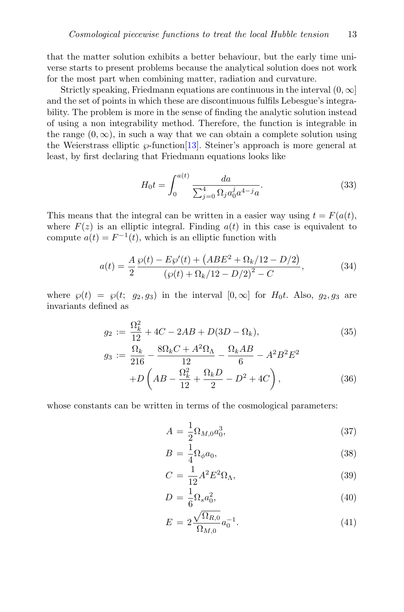that the matter solution exhibits a better behaviour, but the early time universe starts to present problems because the analytical solution does not work for the most part when combining matter, radiation and curvature.

Strictly speaking, Friedmann equations are continuous in the interval  $(0, \infty]$ and the set of points in which these are discontinuous fulfils Lebesgue's integrability. The problem is more in the sense of finding the analytic solution instead of using a non integrability method. Therefore, the function is integrable in the range  $(0, \infty)$ , in such a way that we can obtain a complete solution using the Weierstrass elliptic  $\wp$ -function [\[13\]](#page-20-5). Steiner's approach is more general at least, by first declaring that Friedmann equations looks like

$$
H_0 t = \int_0^{a(t)} \frac{da}{\sum_{j=0}^4 \Omega_j a_0^j a^{4-j} a}.
$$
 (33)

This means that the integral can be written in a easier way using  $t = F(a(t))$ , where  $F(z)$  is an elliptic integral. Finding  $a(t)$  in this case is equivalent to compute  $a(t) = F^{-1}(t)$ , which is an elliptic function with

$$
a(t) = \frac{A}{2} \frac{\wp(t) - E\wp'(t) + (ABE^2 + \Omega_k/12 - D/2)}{(\wp(t) + \Omega_k/12 - D/2)^2 - C},
$$
\n(34)

where  $\varphi(t) = \varphi(t; g_2, g_3)$  in the interval  $[0, \infty]$  for  $H_0 t$ . Also,  $g_2, g_3$  are invariants defined as

$$
g_2 := \frac{\Omega_k^2}{12} + 4C - 2AB + D(3D - \Omega_k),
$$
  
\n
$$
g_3 := \frac{\Omega_k}{216} - \frac{8\Omega_k C + A^2 \Omega_\Lambda}{12} - \frac{\Omega_k AB}{6} - A^2 B^2 E^2
$$
  
\n
$$
+ D\left(AB - \frac{\Omega_k^2}{12} + \frac{\Omega_k D}{2} - D^2 + 4C\right),
$$
\n(36)

whose constants can be written in terms of the cosmological parameters:

<span id="page-12-0"></span>
$$
A = \frac{1}{2} \Omega_{M,0} a_0^3, \tag{37}
$$

$$
B = \frac{1}{4} \Omega_{\phi} a_0,\tag{38}
$$

$$
C = \frac{1}{12}A^2E^2\Omega_\Lambda,\tag{39}
$$

$$
D = \frac{1}{6} \Omega_s a_0^2,\tag{40}
$$

$$
E = 2 \frac{\sqrt{\Omega_{R,0}}}{\Omega_{M,0}} a_0^{-1}.
$$
\n(41)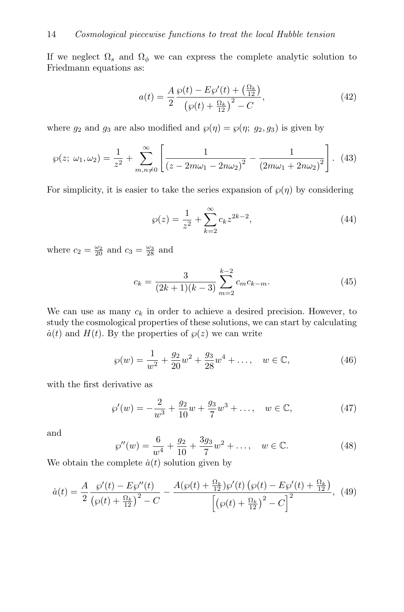If we neglect  $\Omega_s$  and  $\Omega_\phi$  we can express the complete analytic solution to Friedmann equations as:

$$
a(t) = \frac{A}{2} \frac{\wp(t) - E\wp'(t) + \left(\frac{\Omega_k}{12}\right)}{\left(\wp(t) + \frac{\Omega_k}{12}\right)^2 - C},\tag{42}
$$

where  $g_2$  and  $g_3$  are also modified and  $\wp(\eta) = \wp(\eta; g_2, g_3)$  is given by

$$
\wp(z; \omega_1, \omega_2) = \frac{1}{z^2} + \sum_{m,n \neq 0}^{\infty} \left[ \frac{1}{(z - 2m\omega_1 - 2n\omega_2)^2} - \frac{1}{(2m\omega_1 + 2n\omega_2)^2} \right]. \tag{43}
$$

For simplicity, it is easier to take the series expansion of  $\wp(\eta)$  by considering

$$
\wp(z) = \frac{1}{z^2} + \sum_{k=2}^{\infty} c_k z^{2k-2},\tag{44}
$$

where  $c_2 = \frac{\omega_2}{20}$  and  $c_3 = \frac{\omega_3}{28}$  and

$$
c_k = \frac{3}{(2k+1)(k-3)} \sum_{m=2}^{k-2} c_m c_{k-m}.
$$
 (45)

We can use as many  $c_k$  in order to achieve a desired precision. However, to study the cosmological properties of these solutions, we can start by calculating  $\dot{a}(t)$  and  $H(t)$ . By the properties of  $\varphi(z)$  we can write

$$
\wp(w) = \frac{1}{w^2} + \frac{g_2}{20}w^2 + \frac{g_3}{28}w^4 + \dots, \quad w \in \mathbb{C},
$$
\n(46)

with the first derivative as

$$
\wp'(w) = -\frac{2}{w^3} + \frac{g_2}{10}w + \frac{g_3}{7}w^3 + \dots, \quad w \in \mathbb{C},\tag{47}
$$

and

$$
\wp''(w) = \frac{6}{w^4} + \frac{g_2}{10} + \frac{3g_3}{7}w^2 + \dots, \quad w \in \mathbb{C}.\tag{48}
$$

We obtain the complete  $\dot{a}(t)$  solution given by

$$
\dot{a}(t) = \frac{A}{2} \frac{\wp'(t) - E\wp''(t)}{\left(\wp(t) + \frac{\Omega_k}{12}\right)^2 - C} - \frac{A(\wp(t) + \frac{\Omega_k}{12})\wp'(t)\left(\wp(t) - E\wp'(t) + \frac{\Omega_k}{12}\right)}{\left[\left(\wp(t) + \frac{\Omega_k}{12}\right)^2 - C\right]^2}, \tag{49}
$$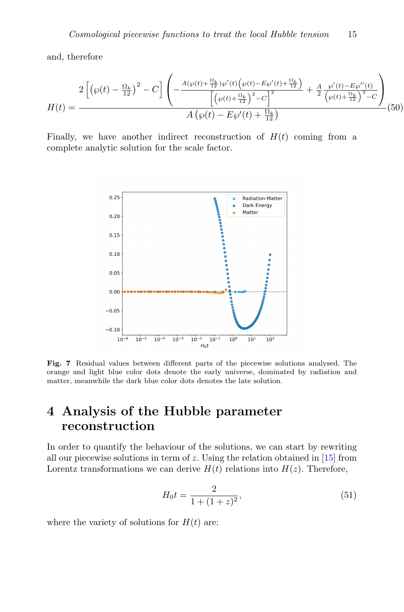and, therefore

$$
H(t) = \frac{2\left[\left(\wp(t) - \frac{\Omega_k}{12}\right)^2 - C\right] \left(-\frac{A(\wp(t) + \frac{\Omega_k}{12})\wp'(t)\left(\wp(t) - E\wp'(t) + \frac{\Omega_k}{12}\right)}{\left[\left(\wp(t) + \frac{\Omega_k}{12}\right)^2 - C\right]^2} + \frac{A}{2} \frac{\wp'(t) - E\wp''(t)}{\left(\wp(t) + \frac{\Omega_k}{12}\right)^2 - C}\right)}{A\left(\wp(t) - E\wp'(t) + \frac{\Omega_k}{12}\right)} (50)
$$

Finally, we have another indirect reconstruction of  $H(t)$  coming from a complete analytic solution for the scale factor.



<span id="page-14-1"></span>Fig. 7 Residual values between different parts of the piecewise solutions analysed. The orange and light blue color dots denote the early universe, dominated by radiation and matter, meanwhile the dark blue color dots denotes the late solution.

## <span id="page-14-0"></span>4 Analysis of the Hubble parameter reconstruction

In order to quantify the behaviour of the solutions, we can start by rewriting all our piecewise solutions in term of  $z$ . Using the relation obtained in  $[15]$  from Lorentz transformations we can derive  $H(t)$  relations into  $H(z)$ . Therefore,

<span id="page-14-2"></span>
$$
H_0 t = \frac{2}{1 + (1 + z)^2},\tag{51}
$$

where the variety of solutions for  $H(t)$  are: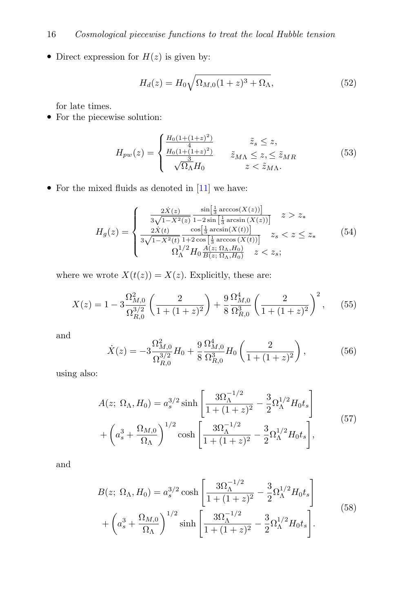• Direct expression for  $H(z)$  is given by:

<span id="page-15-0"></span>
$$
H_d(z) = H_0 \sqrt{\Omega_{M,0}(1+z)^3 + \Omega_{\Lambda}},\tag{52}
$$

for late times.

 $\bullet\,$  For the piecewise solution:

<span id="page-15-2"></span>
$$
H_{pw}(z) = \begin{cases} \frac{H_0(1 + (1+z)^2)}{4} & \tilde{z}_s \le z, \\ \frac{H_0(1 + (1+z)^2)}{3} & \tilde{z}_{M\Lambda} \le z, \le \tilde{z}_{MR} \\ \sqrt{\Omega_{\Lambda}} H_0 & z < \tilde{z}_{M\Lambda}. \end{cases}
$$
(53)

• For the mixed fluids as denoted in  $[11]$  we have:

<span id="page-15-1"></span>
$$
H_g(z) = \begin{cases} \frac{2\dot{X}(z)}{3\sqrt{1-X^2(z)}} \frac{\sin[\frac{1}{3}\arccos(X(z))]}{1-2\sin[\frac{1}{3}\arcsin(X(z))]} & z > z_*\\ \frac{2\dot{X}(t)}{3\sqrt{1-X^2(t)}} \frac{\cos[\frac{1}{3}\arcsin(X(t))]}{1+2\cos[\frac{1}{3}\arccos(X(t))]} & z_s < z \leq z_*\\ \Omega_{\Lambda}^{1/2} H_0 \frac{A(z;\,\Omega_{\Lambda},H_0)}{B(z;\,\Omega_{\Lambda},H_0)} & z < z_s; \end{cases} \tag{54}
$$

where we wrote  $X(t(z)) = X(z)$ . Explicitly, these are:

$$
X(z) = 1 - 3 \frac{\Omega_{M,0}^2}{\Omega_{R,0}^{3/2}} \left( \frac{2}{1 + (1 + z)^2} \right) + \frac{9}{8} \frac{\Omega_{M,0}^4}{\Omega_{R,0}^3} \left( \frac{2}{1 + (1 + z)^2} \right)^2, \tag{55}
$$

and

$$
\dot{X}(z) = -3 \frac{\Omega_{M,0}^2}{\Omega_{R,0}^{3/2}} H_0 + \frac{9}{8} \frac{\Omega_{M,0}^4}{\Omega_{R,0}^3} H_0 \left( \frac{2}{1 + (1 + z)^2} \right),\tag{56}
$$

using also:

$$
A(z; \Omega_{\Lambda}, H_0) = a_s^{3/2} \sinh\left[\frac{3\Omega_{\Lambda}^{-1/2}}{1 + (1 + z)^2} - \frac{3}{2}\Omega_{\Lambda}^{1/2}H_0t_s\right] + \left(a_s^3 + \frac{\Omega_{M,0}}{\Omega_{\Lambda}}\right)^{1/2} \cosh\left[\frac{3\Omega_{\Lambda}^{-1/2}}{1 + (1 + z)^2} - \frac{3}{2}\Omega_{\Lambda}^{1/2}H_0t_s\right],
$$
\n(57)

and

$$
B(z; \Omega_{\Lambda}, H_0) = a_s^{3/2} \cosh\left[\frac{3\Omega_{\Lambda}^{-1/2}}{1 + (1 + z)^2} - \frac{3}{2}\Omega_{\Lambda}^{1/2}H_0t_s\right] + \left(a_s^3 + \frac{\Omega_{M,0}}{\Omega_{\Lambda}}\right)^{1/2} \sinh\left[\frac{3\Omega_{\Lambda}^{-1/2}}{1 + (1 + z)^2} - \frac{3}{2}\Omega_{\Lambda}^{1/2}H_0t_s\right].
$$
 (58)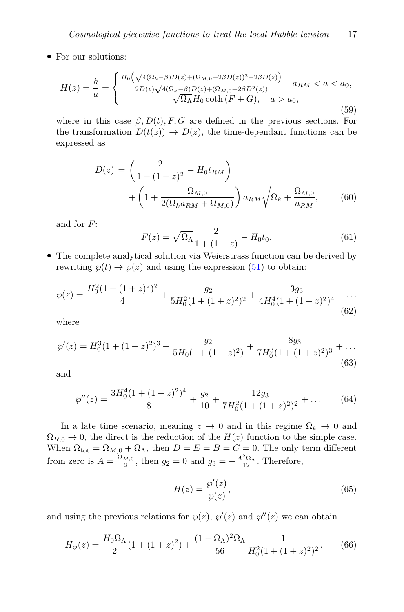• For our solutions:

<span id="page-16-1"></span>
$$
H(z) = \frac{\dot{a}}{a} = \begin{cases} \frac{H_0\left(\sqrt{4(\Omega_k - \beta)D(z) + (\Omega_{M,0} + 2\beta D(z))^2} + 2\beta D(z)}\right)}{2D(z)\sqrt{4(\Omega_k - \beta)D(z) + (\Omega_{M,0} + 2\beta D^2(z))}} & a_{RM} < a < a_0, \\ \sqrt{\Omega_{\Lambda}} H_0 \coth(F + G), & a > a_0, \end{cases}
$$
(59)

where in this case  $\beta$ ,  $D(t)$ , F, G are defined in the previous sections. For the transformation  $D(t(z)) \to D(z)$ , the time-dependant functions can be expressed as

$$
D(z) = \left(\frac{2}{1 + (1 + z)^2} - H_0 t_{RM}\right) + \left(1 + \frac{\Omega_{M,0}}{2(\Omega_k a_{RM} + \Omega_{M,0})}\right) a_{RM} \sqrt{\Omega_k + \frac{\Omega_{M,0}}{a_{RM}}},
$$
(60)

and for F:

$$
F(z) = \sqrt{\Omega_{\Lambda}} \frac{2}{1 + (1 + z)} - H_0 t_0.
$$
 (61)

• The complete analytical solution via Weierstrass function can be derived by rewriting  $\wp(t) \to \wp(z)$  and using the expression [\(51\)](#page-14-2) to obtain:

$$
\wp(z) = \frac{H_0^2 (1 + (1+z)^2)^2}{4} + \frac{g_2}{5H_0^2 (1 + (1+z)^2)^2} + \frac{3g_3}{4H_0^4 (1 + (1+z)^2)^4} + \dots
$$
\n(62)

where

$$
\wp'(z) = H_0^3 (1 + (1+z)^2)^3 + \frac{g_2}{5H_0(1 + (1+z)^2)} + \frac{8g_3}{7H_0^3(1 + (1+z)^2)^3} + \dots
$$
\n(63)

and

$$
\wp''(z) = \frac{3H_0^4(1+(1+z)^2)^4}{8} + \frac{g_2}{10} + \frac{12g_3}{7H_0^2(1+(1+z)^2)^2} + \dots
$$
 (64)

In a late time scenario, meaning  $z \to 0$  and in this regime  $\Omega_k \to 0$  and  $\Omega_{R,0} \to 0$ , the direct is the reduction of the  $H(z)$  function to the simple case. When  $\Omega_{\text{tot}} = \Omega_{M,0} + \Omega_{\Lambda}$ , then  $D = E = B = C = 0$ . The only term different from zero is  $A = \frac{\Omega_{M,0}}{2}$ , then  $g_2 = 0$  and  $g_3 = -\frac{A^2 \Omega_{\Lambda}}{12}$ . Therefore,

$$
H(z) = \frac{\wp'(z)}{\wp(z)},\tag{65}
$$

and using the previous relations for  $\varphi(z)$ ,  $\varphi'(z)$  and  $\varphi''(z)$  we can obtain

<span id="page-16-0"></span>
$$
H_{\wp}(z) = \frac{H_0 \Omega_{\Lambda}}{2} (1 + (1+z)^2) + \frac{(1 - \Omega_{\Lambda})^2 \Omega_{\Lambda}}{56} \frac{1}{H_0^2 (1 + (1+z)^2)^2}.
$$
 (66)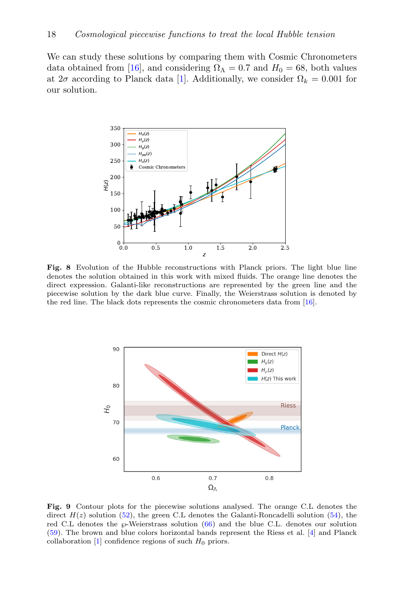We can study these solutions by comparing them with Cosmic Chronometers data obtained from [\[16\]](#page-20-8), and considering  $\Omega_{\Lambda} = 0.7$  and  $H_0 = 68$ , both values at  $2\sigma$  according to Planck data [\[1\]](#page-19-0). Additionally, we consider  $\Omega_k = 0.001$  for our solution.



<span id="page-17-1"></span>Fig. 8 Evolution of the Hubble reconstructions with Planck priors. The light blue line denotes the solution obtained in this work with mixed fluids. The orange line denotes the direct expression. Galanti-like reconstructions are represented by the green line and the piecewise solution by the dark blue curve. Finally, the Weierstrass solution is denoted by the red line. The black dots represents the cosmic chronometers data from [\[16\]](#page-20-8).



<span id="page-17-0"></span>Fig. 9 Contour plots for the piecewise solutions analysed. The orange C.L denotes the direct  $H(z)$  solution [\(52\)](#page-15-0), the green C.L denotes the Galanti-Roncadelli solution [\(54\)](#page-15-1), the red C.L denotes the  $\wp$ -Weierstrass solution [\(66\)](#page-16-0) and the blue C.L. denotes our solution [\(59\)](#page-16-1). The brown and blue colors horizontal bands represent the Riess et al. [\[4\]](#page-19-3) and Planck collaboration  $[1]$  confidence regions of such  $H_0$  priors.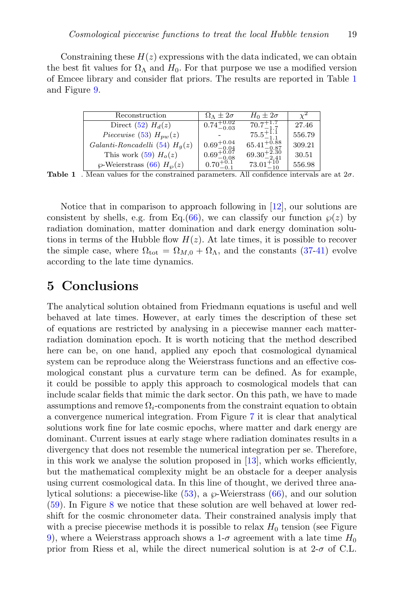Constraining these  $H(z)$  expressions with the data indicated, we can obtain the best fit values for  $\Omega_{\Lambda}$  and  $H_0$ . For that purpose we use a modified version of Emcee library and consider flat priors. The results are reported in Table [1](#page-18-0) and Figure [9.](#page-17-0)

| Reconstruction                       | $\Omega_{\Lambda} \pm 2\sigma$                   | $H_0 \pm 2\sigma$                                  |        |
|--------------------------------------|--------------------------------------------------|----------------------------------------------------|--------|
| Direct (52) $H_d(z)$                 | $0.74^{+0.02}_{-0.03}$                           | $70.7^{+1.7}_{-1.7}$                               | 27.46  |
| Piecewise (53) $H_{pw}(z)$           |                                                  | $75.5^{+1.1}_{-1.1}$                               | 556.79 |
| Galanti-Roncadelli (54) $Ha(z)$      |                                                  | $65.41_{-0.87}^{+0.88}$<br>$69.30_{-2.41}^{+2.30}$ | 309.21 |
| This work $(59)$ $Ho(z)$             | $0.69^{+0.04}_{-0.04}$<br>$0.69^{+0.07}_{-0.08}$ |                                                    | 30.51  |
| $\wp$ -Weierstrass (66) $H_{\wp}(z)$ | $0.70^{+0.1}_{-0.1}$                             | $73.01_{-10}^{+10}$                                | 556.98 |

<span id="page-18-0"></span>**Table 1**. Mean values for the constrained parameters. All confidence intervals are at  $2\sigma$ .

Notice that in comparison to approach following in [\[12\]](#page-20-4), our solutions are consistent by shells, e.g. from Eq.[\(66\)](#page-16-0), we can classify our function  $\wp(z)$  by radiation domination, matter domination and dark energy domination solutions in terms of the Hubble flow  $H(z)$ . At late times, it is possible to recover the simple case, where  $\Omega_{\text{tot}} = \Omega_{M,0} + \Omega_{\Lambda}$ , and the constants [\(37-41\)](#page-12-0) evolve according to the late time dynamics.

### 5 Conclusions

The analytical solution obtained from Friedmann equations is useful and well behaved at late times. However, at early times the description of these set of equations are restricted by analysing in a piecewise manner each matterradiation domination epoch. It is worth noticing that the method described here can be, on one hand, applied any epoch that cosmological dynamical system can be reproduce along the Weierstrass functions and an effective cosmological constant plus a curvature term can be defined. As for example, it could be possible to apply this approach to cosmological models that can include scalar fields that mimic the dark sector. On this path, we have to made assumptions and remove  $\Omega_i$ -components from the constraint equation to obtain a convergence numerical integration. From Figure [7](#page-14-1) it is clear that analytical solutions work fine for late cosmic epochs, where matter and dark energy are dominant. Current issues at early stage where radiation dominates results in a divergency that does not resemble the numerical integration per se. Therefore, in this work we analyse the solution proposed in  $[13]$ , which works efficiently, but the mathematical complexity might be an obstacle for a deeper analysis using current cosmological data. In this line of thought, we derived three analytical solutions: a piecewise-like  $(53)$ , a  $\wp$ -Weierstrass  $(66)$ , and our solution [\(59\)](#page-16-1). In Figure [8](#page-17-1) we notice that these solution are well behaved at lower redshift for the cosmic chronometer data. Their constrained analysis imply that with a precise piecewise methods it is possible to relax  $H_0$  tension (see Figure [9\)](#page-17-0), where a Weierstrass approach shows a  $1-\sigma$  agreement with a late time  $H_0$ prior from Riess et al, while the direct numerical solution is at  $2-\sigma$  of C.L.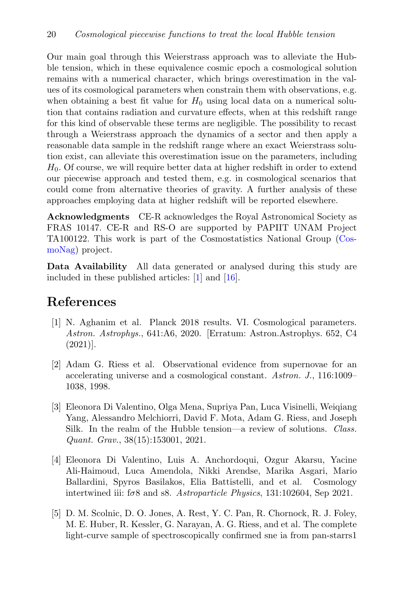Our main goal through this Weierstrass approach was to alleviate the Hubble tension, which in these equivalence cosmic epoch a cosmological solution remains with a numerical character, which brings overestimation in the values of its cosmological parameters when constrain them with observations, e.g. when obtaining a best fit value for  $H_0$  using local data on a numerical solution that contains radiation and curvature effects, when at this redshift range for this kind of observable these terms are negligible. The possibility to recast through a Weierstrass approach the dynamics of a sector and then apply a reasonable data sample in the redshift range where an exact Weierstrass solution exist, can alleviate this overestimation issue on the parameters, including  $H<sub>0</sub>$ . Of course, we will require better data at higher redshift in order to extend our piecewise approach and tested them, e.g. in cosmological scenarios that could come from alternative theories of gravity. A further analysis of these approaches employing data at higher redshift will be reported elsewhere.

Acknowledgments CE-R acknowledges the Royal Astronomical Society as FRAS 10147. CE-R and RS-O are supported by PAPIIT UNAM Project TA100122. This work is part of the Cosmostatistics National Group [\(Cos](https://www.nucleares.unam.mx/CosmoNag/index.html)[moNag\)](https://www.nucleares.unam.mx/CosmoNag/index.html) project.

Data Availability All data generated or analysed during this study are included in these published articles: [\[1\]](#page-19-0) and [\[16\]](#page-20-8).

### References

- <span id="page-19-0"></span>[1] N. Aghanim et al. Planck 2018 results. VI. Cosmological parameters. Astron. Astrophys., 641:A6, 2020. [Erratum: Astron.Astrophys. 652, C4 (2021)].
- <span id="page-19-1"></span>[2] Adam G. Riess et al. Observational evidence from supernovae for an accelerating universe and a cosmological constant. Astron. J., 116:1009– 1038, 1998.
- <span id="page-19-2"></span>[3] Eleonora Di Valentino, Olga Mena, Supriya Pan, Luca Visinelli, Weiqiang Yang, Alessandro Melchiorri, David F. Mota, Adam G. Riess, and Joseph Silk. In the realm of the Hubble tension—a review of solutions. Class. Quant. Grav., 38(15):153001, 2021.
- <span id="page-19-3"></span>[4] Eleonora Di Valentino, Luis A. Anchordoqui, Ozgur Akarsu, Yacine Ali-Haimoud, Luca Amendola, Nikki Arendse, Marika Asgari, Mario Ballardini, Spyros Basilakos, Elia Battistelli, and et al. Cosmology intertwined iii:  $f\sigma8$  and s8. Astroparticle Physics, 131:102604, Sep 2021.
- <span id="page-19-4"></span>[5] D. M. Scolnic, D. O. Jones, A. Rest, Y. C. Pan, R. Chornock, R. J. Foley, M. E. Huber, R. Kessler, G. Narayan, A. G. Riess, and et al. The complete light-curve sample of spectroscopically confirmed sne ia from pan-starrs1